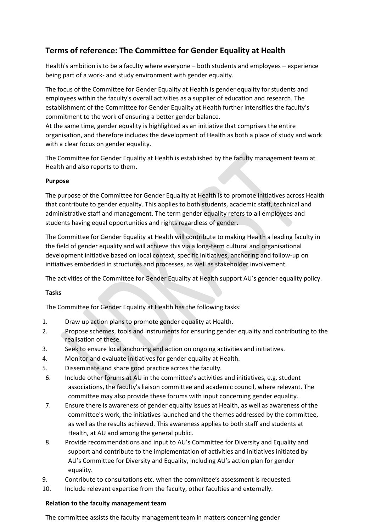# **Terms of reference: The Committee for Gender Equality at Health**

Health's ambition is to be a faculty where everyone – both students and employees – experience being part of a work- and study environment with gender equality.

The focus of the Committee for Gender Equality at Health is gender equality for students and employees within the faculty's overall activities as a supplier of education and research. The establishment of the Committee for Gender Equality at Health further intensifies the faculty's commitment to the work of ensuring a better gender balance.

At the same time, gender equality is highlighted as an initiative that comprises the entire organisation, and therefore includes the development of Health as both a place of study and work with a clear focus on gender equality.

The Committee for Gender Equality at Health is established by the faculty management team at Health and also reports to them.

## **Purpose**

The purpose of the Committee for Gender Equality at Health is to promote initiatives across Health that contribute to gender equality. This applies to both students, academic staff, technical and administrative staff and management. The term gender equality refers to all employees and students having equal opportunities and rights regardless of gender.

The Committee for Gender Equality at Health will contribute to making Health a leading faculty in the field of gender equality and will achieve this via a long-term cultural and organisational development initiative based on local context, specific initiatives, anchoring and follow-up on initiatives embedded in structures and processes, as well as stakeholder involvement.

The activities of the Committee for Gender Equality at Health support AU's gender equality policy.

# **Tasks**

The Committee for Gender Equality at Health has the following tasks:

- 1. Draw up action plans to promote gender equality at Health.
- 2. Propose schemes, tools and instruments for ensuring gender equality and contributing to the realisation of these.
- 3. Seek to ensure local anchoring and action on ongoing activities and initiatives.
- 4. Monitor and evaluate initiatives for gender equality at Health.
- 5. Disseminate and share good practice across the faculty.
- 6. Include other forums at AU in the committee's activities and initiatives, e.g. student associations, the faculty's liaison committee and academic council, where relevant. The committee may also provide these forums with input concerning gender equality.
- 7. Ensure there is awareness of gender equality issues at Health, as well as awareness of the committee's work, the initiatives launched and the themes addressed by the committee, as well as the results achieved. This awareness applies to both staff and students at Health, at AU and among the general public.
- 8. Provide recommendations and input to AU's Committee for Diversity and Equality and support and contribute to the implementation of activities and initiatives initiated by AU's Committee for Diversity and Equality, including AU's action plan for gender equality.
- 9. Contribute to consultations etc. when the committee's assessment is requested.
- 10. Include relevant expertise from the faculty, other faculties and externally.

#### **Relation to the faculty management team**

The committee assists the faculty management team in matters concerning gender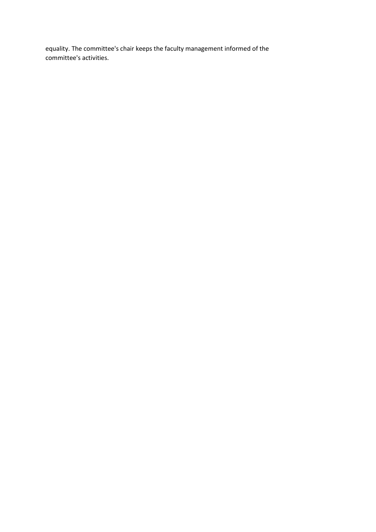equality. The committee's chair keeps the faculty management informed of the committee's activities.